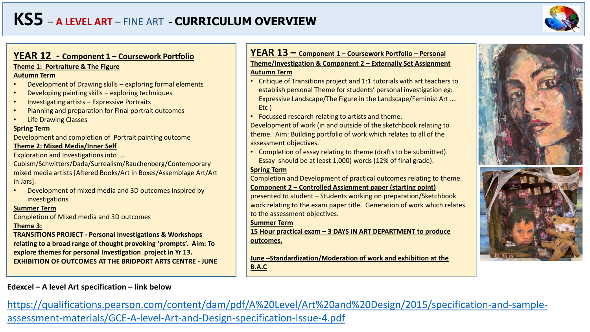# **KS5** – **A LEVEL ART** – FINE ART - **CURRICULUM OVERVIEW**



## **YEAR 12 - Component 1 – Coursework Portfolio**

#### **Theme 1: Portraiture & The Figure**

#### **Autumn Term**

- Development of Drawing skills exploring formal elements
- Developing painting skills exploring techniques
- Investigating artists Expressive Portraits
- Planning and preparation for Final portrait outcomes
- Life Drawing Classes

#### **Spring Term**

Development and completion of Portrait painting outcome

#### **Theme 2: Mixed Media/Inner Self**

Exploration and Investigations into …

Cubism/Schwitters/Dada/Surrealism/Rauchenberg/Contemporary mixed media artists [Altered Books/Art in Boxes/Assemblage Art/Art in Jars].

• Development of mixed media and 3D outcomes inspired by investigations

#### **Summer Term**

Completion of Mixed media and 3D outcomes

#### **Theme 3:**

**TRANSITIONS PROJECT - Personal Investigations & Workshops relating to a broad range of thought provoking 'prompts'. Aim: To explore themes for personal Investigation project in Yr 13. EXHIBITION OF OUTCOMES AT THE BRIDPORT ARTS CENTRE - JUNE**

## **Edexcel – A level Art specification – link below**

## **YEAR 13 – Component 1 – Coursework Portfolio – Personal Theme/Investigation & Component 2 – Externally Set Assignment Autumn Term**

- Critique of Transitions project and 1:1 tutorials with art teachers to establish personal Theme for students' personal investigation eg: Expressive Landscape/The Figure in the Landscape/Feminist Art …. Etc )
- Focussed research relating to artists and theme.

Development of work (in and outside of the sketchbook relating to theme. Aim: Building portfolio of work which relates to all of the assessment objectives.

• Completion of essay relating to theme (drafts to be submitted). Essay should be at least 1,000) words (12% of final grade).

## **Spring Term**

Completion and Development of practical outcomes relating to theme. **Component 2 – Controlled Assignment paper (starting point)**

presented to student – Students working on preparation/Sketchbook work relating to the exam paper title. Generation of work which relates to the assessment objectives.

#### **Summer Term**

**15 Hour practical exam – 3 DAYS IN ART DEPARTMENT to produce outcomes.**

**June –Standardization/Moderation of work and exhibition at the B.A.C**





[https://qualifications.pearson.com/content/dam/pdf/A%20Level/Art%20and%20Design/2015/specification-and-sample](https://qualifications.pearson.com/content/dam/pdf/A%20Level/Art%20and%20Design/2015/specification-and-sample-assessment-materials/GCE-A-level-Art-and-Design-specification-Issue-4.pdf)assessment-materials/GCE-A-level-Art-and-Design-specification-Issue-4.pdf